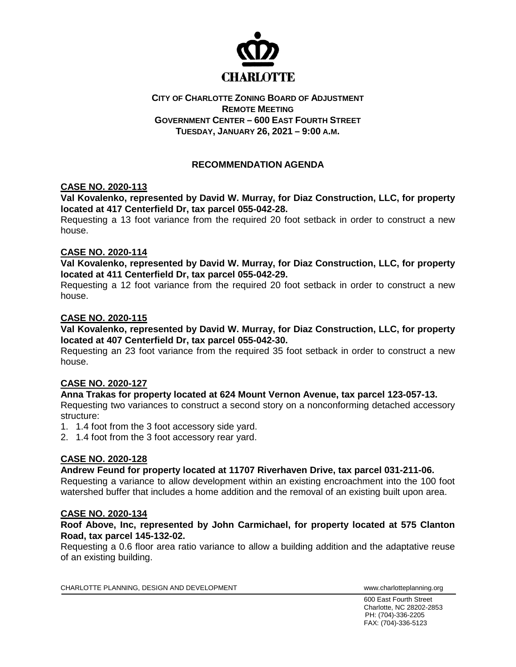

## **CITY OF CHARLOTTE ZONING BOARD OF ADJUSTMENT REMOTE MEETING GOVERNMENT CENTER – 600 EAST FOURTH STREET TUESDAY, JANUARY 26, 2021 – 9:00 A.M.**

# **RECOMMENDATION AGENDA**

### **CASE NO. 2020-113**

**Val Kovalenko, represented by David W. Murray, for Diaz Construction, LLC, for property located at 417 Centerfield Dr, tax parcel 055-042-28.**

Requesting a 13 foot variance from the required 20 foot setback in order to construct a new house.

#### **CASE NO. 2020-114**

**Val Kovalenko, represented by David W. Murray, for Diaz Construction, LLC, for property located at 411 Centerfield Dr, tax parcel 055-042-29.**

Requesting a 12 foot variance from the required 20 foot setback in order to construct a new house.

### **CASE NO. 2020-115**

**Val Kovalenko, represented by David W. Murray, for Diaz Construction, LLC, for property located at 407 Centerfield Dr, tax parcel 055-042-30.**

Requesting an 23 foot variance from the required 35 foot setback in order to construct a new house.

#### **CASE NO. 2020-127**

#### **Anna Trakas for property located at 624 Mount Vernon Avenue, tax parcel 123-057-13.**

Requesting two variances to construct a second story on a nonconforming detached accessory structure:

- 1. 1.4 foot from the 3 foot accessory side yard.
- 2. 1.4 foot from the 3 foot accessory rear yard.

## **CASE NO. 2020-128**

#### **Andrew Feund for property located at 11707 Riverhaven Drive, tax parcel 031-211-06.**

Requesting a variance to allow development within an existing encroachment into the 100 foot watershed buffer that includes a home addition and the removal of an existing built upon area.

#### **CASE NO. 2020-134**

### **Roof Above, Inc, represented by John Carmichael, for property located at 575 Clanton Road, tax parcel 145-132-02.**

Requesting a 0.6 floor area ratio variance to allow a building addition and the adaptative reuse of an existing building.

CHARLOTTE PLANNING, DESIGN AND DEVELOPMENT WWW.Charlotteplanning.org

600 East Fourth Street Charlotte, NC 28202-2853 PH: (704)-336-2205 FAX: (704)-336-5123